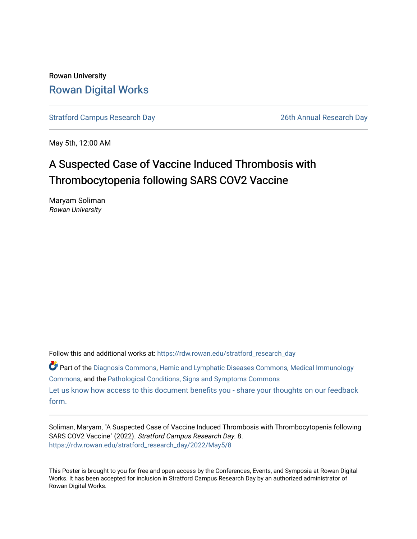# Rowan University [Rowan Digital Works](https://rdw.rowan.edu/)

[Stratford Campus Research Day](https://rdw.rowan.edu/stratford_research_day) [26th Annual Research Day](https://rdw.rowan.edu/stratford_research_day/2022) 

May 5th, 12:00 AM

# A Suspected Case of Vaccine Induced Thrombosis with Thrombocytopenia following SARS COV2 Vaccine

Maryam Soliman Rowan University

Follow this and additional works at: [https://rdw.rowan.edu/stratford\\_research\\_day](https://rdw.rowan.edu/stratford_research_day?utm_source=rdw.rowan.edu%2Fstratford_research_day%2F2022%2FMay5%2F8&utm_medium=PDF&utm_campaign=PDFCoverPages)

Part of the [Diagnosis Commons,](https://network.bepress.com/hgg/discipline/945?utm_source=rdw.rowan.edu%2Fstratford_research_day%2F2022%2FMay5%2F8&utm_medium=PDF&utm_campaign=PDFCoverPages) [Hemic and Lymphatic Diseases Commons,](https://network.bepress.com/hgg/discipline/1011?utm_source=rdw.rowan.edu%2Fstratford_research_day%2F2022%2FMay5%2F8&utm_medium=PDF&utm_campaign=PDFCoverPages) [Medical Immunology](https://network.bepress.com/hgg/discipline/671?utm_source=rdw.rowan.edu%2Fstratford_research_day%2F2022%2FMay5%2F8&utm_medium=PDF&utm_campaign=PDFCoverPages) [Commons](https://network.bepress.com/hgg/discipline/671?utm_source=rdw.rowan.edu%2Fstratford_research_day%2F2022%2FMay5%2F8&utm_medium=PDF&utm_campaign=PDFCoverPages), and the [Pathological Conditions, Signs and Symptoms Commons](https://network.bepress.com/hgg/discipline/1004?utm_source=rdw.rowan.edu%2Fstratford_research_day%2F2022%2FMay5%2F8&utm_medium=PDF&utm_campaign=PDFCoverPages)  [Let us know how access to this document benefits you - share your thoughts on our feedback](https://www.lib.rowan.edu/rdw-feedback?ref=https://rdw.rowan.edu/stratford_research_day/2022/May5/8) [form.](https://www.lib.rowan.edu/rdw-feedback?ref=https://rdw.rowan.edu/stratford_research_day/2022/May5/8)

Soliman, Maryam, "A Suspected Case of Vaccine Induced Thrombosis with Thrombocytopenia following SARS COV2 Vaccine" (2022). Stratford Campus Research Day. 8. [https://rdw.rowan.edu/stratford\\_research\\_day/2022/May5/8](https://rdw.rowan.edu/stratford_research_day/2022/May5/8?utm_source=rdw.rowan.edu%2Fstratford_research_day%2F2022%2FMay5%2F8&utm_medium=PDF&utm_campaign=PDFCoverPages)

This Poster is brought to you for free and open access by the Conferences, Events, and Symposia at Rowan Digital Works. It has been accepted for inclusion in Stratford Campus Research Day by an authorized administrator of Rowan Digital Works.